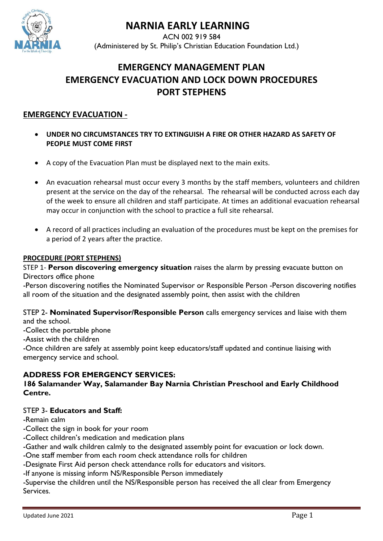

# **NARNIA EARLY LEARNING**

 ACN 002 919 584 (Administered by St. Philip's Christian Education Foundation Ltd.)

# **EMERGENCY MANAGEMENT PLAN EMERGENCY EVACUATION AND LOCK DOWN PROCEDURES PORT STEPHENS**

# **EMERGENCY EVACUATION -**

- **UNDER NO CIRCUMSTANCES TRY TO EXTINGUISH A FIRE OR OTHER HAZARD AS SAFETY OF PEOPLE MUST COME FIRST**
- A copy of the Evacuation Plan must be displayed next to the main exits.
- An evacuation rehearsal must occur every 3 months by the staff members, volunteers and children present at the service on the day of the rehearsal. The rehearsal will be conducted across each day of the week to ensure all children and staff participate. At times an additional evacuation rehearsal may occur in conjunction with the school to practice a full site rehearsal.
- A record of all practices including an evaluation of the procedures must be kept on the premises for a period of 2 years after the practice.

#### **PROCEDURE (PORT STEPHENS)**

STEP 1- **Person discovering emergency situation** raises the alarm by pressing evacuate button on Directors office phone

-Person discovering notifies the Nominated Supervisor or Responsible Person -Person discovering notifies all room of the situation and the designated assembly point, then assist with the children

STEP 2- **Nominated Supervisor/Responsible Person** calls emergency services and liaise with them and the school.

-Collect the portable phone

-Assist with the children

-Once children are safely at assembly point keep educators/staff updated and continue liaising with emergency service and school.

### **ADDRESS FOR EMERGENCY SERVICES:**

### **186 Salamander Way, Salamander Bay Narnia Christian Preschool and Early Childhood Centre.**

### STEP 3- **Educators and Staff:**

-Remain calm

-Collect the sign in book for your room

-Collect children's medication and medication plans

-Gather and walk children calmly to the designated assembly point for evacuation or lock down.

-One staff member from each room check attendance rolls for children

-Designate First Aid person check attendance rolls for educators and visitors.

-If anyone is missing inform NS/Responsible Person immediately

-Supervise the children until the NS/Responsible person has received the all clear from Emergency Services.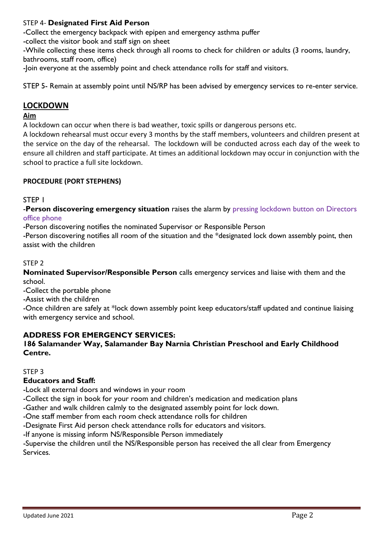# STEP 4- **Designated First Aid Person**

-Collect the emergency backpack with epipen and emergency asthma puffer

-collect the visitor book and staff sign on sheet

-While collecting these items check through all rooms to check for children or adults (3 rooms, laundry, bathrooms, staff room, office)

-Join everyone at the assembly point and check attendance rolls for staff and visitors.

STEP 5- Remain at assembly point until NS/RP has been advised by emergency services to re-enter service.

# **LOCKDOWN**

### **Aim**

A lockdown can occur when there is bad weather, toxic spills or dangerous persons etc.

A lockdown rehearsal must occur every 3 months by the staff members, volunteers and children present at the service on the day of the rehearsal. The lockdown will be conducted across each day of the week to ensure all children and staff participate. At times an additional lockdown may occur in conjunction with the school to practice a full site lockdown.

# **PROCEDURE (PORT STEPHENS)**

# STEP 1

-**Person discovering emergency situation** raises the alarm by pressing lockdown button on Directors office phone

-Person discovering notifies the nominated Supervisor or Responsible Person

-Person discovering notifies all room of the situation and the \*designated lock down assembly point, then assist with the children

### STEP 2

**Nominated Supervisor/Responsible Person** calls emergency services and liaise with them and the school.

-Collect the portable phone

-Assist with the children

-Once children are safely at \*lock down assembly point keep educators/staff updated and continue liaising with emergency service and school.

# **ADDRESS FOR EMERGENCY SERVICES:**

# **186 Salamander Way, Salamander Bay Narnia Christian Preschool and Early Childhood Centre.**

STEP 3

# **Educators and Staff:**

-Lock all external doors and windows in your room

-Collect the sign in book for your room and children's medication and medication plans

-Gather and walk children calmly to the designated assembly point for lock down.

-One staff member from each room check attendance rolls for children

-Designate First Aid person check attendance rolls for educators and visitors.

-If anyone is missing inform NS/Responsible Person immediately

-Supervise the children until the NS/Responsible person has received the all clear from Emergency Services.